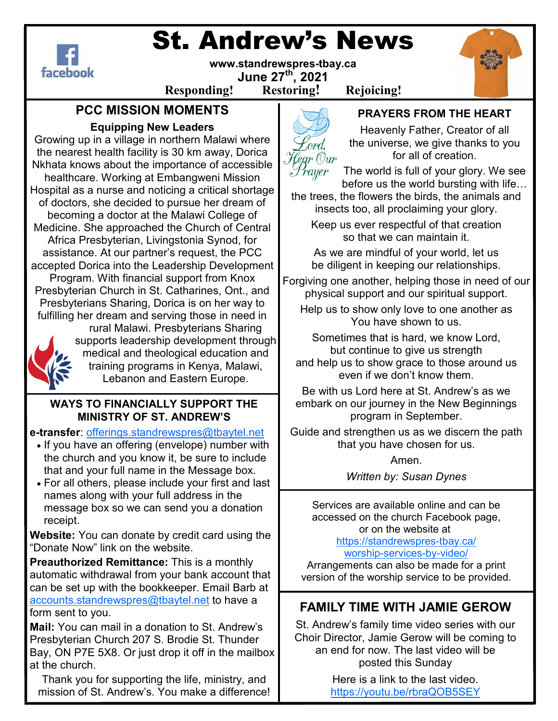

# St. Andrew's News



rayer

**Responding! Restoring! Rejoicing!**

# **PCC MISSION MOMENTS**

## **Equipping New Leaders**

Growing up in a village in northern Malawi where the nearest health facility is 30 km away, Dorica Nkhata knows about the importance of accessible healthcare. Working at Embangweni Mission Hospital as a nurse and noticing a critical shortage of doctors, she decided to pursue her dream of becoming a doctor at the Malawi College of Medicine. She approached the Church of Central Africa Presbyterian, Livingstonia Synod, for assistance. At our partner's request, the PCC accepted Dorica into the Leadership Development Program. With financial support from Knox Presbyterian Church in St. Catharines, Ont., and Presbyterians Sharing, Dorica is on her way to fulfilling her dream and serving those in need in rural Malawi. Presbyterians Sharing supports leadership development through



medical and theological education and training programs in Kenya, Malawi, Lebanon and Eastern Europe.

### **WAYS TO FINANCIALLY SUPPORT THE MINISTRY OF ST. ANDREW'S**

**e-transfer**: offerings.standrewspres@tbaytel.net

- If you have an offering (envelope) number with the church and you know it, be sure to include that and your full name in the Message box.
- For all others, please include your first and last names along with your full address in the message box so we can send you a donation receipt.

**Website:** You can donate by credit card using the "Donate Now" link on the website.

**Preauthorized Remittance:** This is a monthly automatic withdrawal from your bank account that can be set up with the bookkeeper. Email Barb at accounts.standrewspres@tbaytel.net to have a form sent to you.

**Mail:** You can mail in a donation to St. Andrew's Presbyterian Church 207 S. Brodie St. Thunder Bay, ON P7E 5X8. Or just drop it off in the mailbox at the church.

Thank you for supporting the life, ministry, and mission of St. Andrew's. You make a difference!

# **PRAYERS FROM THE HEART**

Heavenly Father, Creator of all the universe, we give thanks to you for all of creation.

The world is full of your glory. We see before us the world bursting with life...

the trees, the flowers the birds, the animals and insects too, all proclaiming your glory.

Keep us ever respectful of that creation so that we can maintain it.

As we are mindful of your world, let us be diligent in keeping our relationships.

Forgiving one another, helping those in need of our physical support and our spiritual support.

Help us to show only love to one another as You have shown to us.

Sometimes that is hard, we know Lord, but continue to give us strength and help us to show grace to those around us even if we don't know them.

Be with us Lord here at St. Andrew's as we embark on our journey in the New Beginnings program in September.

Guide and strengthen us as we discern the path that you have chosen for us.

Amen.

*Written by: Susan Dynes* 

Services are available online and can be accessed on the church Facebook page, or on the website at https://standrewspres-tbay.ca/

worship-services-by-video/

Arrangements can also be made for a print version of the worship service to be provided.

# **FAMILY TIME WITH JAMIE GEROW**

St. Andrew's family time video series with our Choir Director, Jamie Gerow will be coming to an end for now. The last video will be posted this Sunday

> Here is a link to the last video. https://youtu.be/rbraQOB5SEY